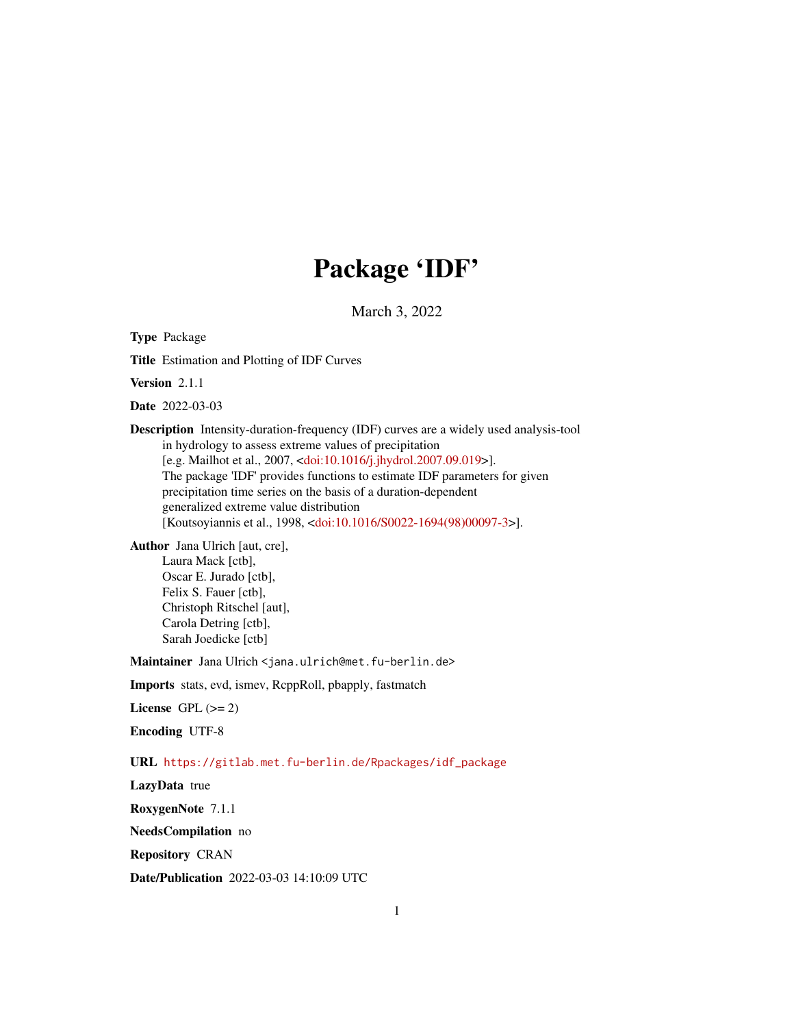## Package 'IDF'

March 3, 2022

<span id="page-0-0"></span>Type Package

Title Estimation and Plotting of IDF Curves

Version 2.1.1

Date 2022-03-03

Description Intensity-duration-frequency (IDF) curves are a widely used analysis-tool in hydrology to assess extreme values of precipitation [e.g. Mailhot et al., 2007, [<doi:10.1016/j.jhydrol.2007.09.019>](https://doi.org/10.1016/j.jhydrol.2007.09.019)]. The package 'IDF' provides functions to estimate IDF parameters for given precipitation time series on the basis of a duration-dependent generalized extreme value distribution [Koutsoyiannis et al., 1998, [<doi:10.1016/S0022-1694\(98\)00097-3>](https://doi.org/10.1016/S0022-1694(98)00097-3)].

Author Jana Ulrich [aut, cre],

Laura Mack [ctb], Oscar E. Jurado [ctb], Felix S. Fauer [ctb], Christoph Ritschel [aut], Carola Detring [ctb], Sarah Joedicke [ctb]

Maintainer Jana Ulrich <jana.ulrich@met.fu-berlin.de>

Imports stats, evd, ismev, RcppRoll, pbapply, fastmatch

License GPL  $(>= 2)$ 

Encoding UTF-8

URL [https://gitlab.met.fu-berlin.de/Rpackages/idf\\_package](https://gitlab.met.fu-berlin.de/Rpackages/idf_package)

LazyData true

RoxygenNote 7.1.1

NeedsCompilation no

Repository CRAN

Date/Publication 2022-03-03 14:10:09 UTC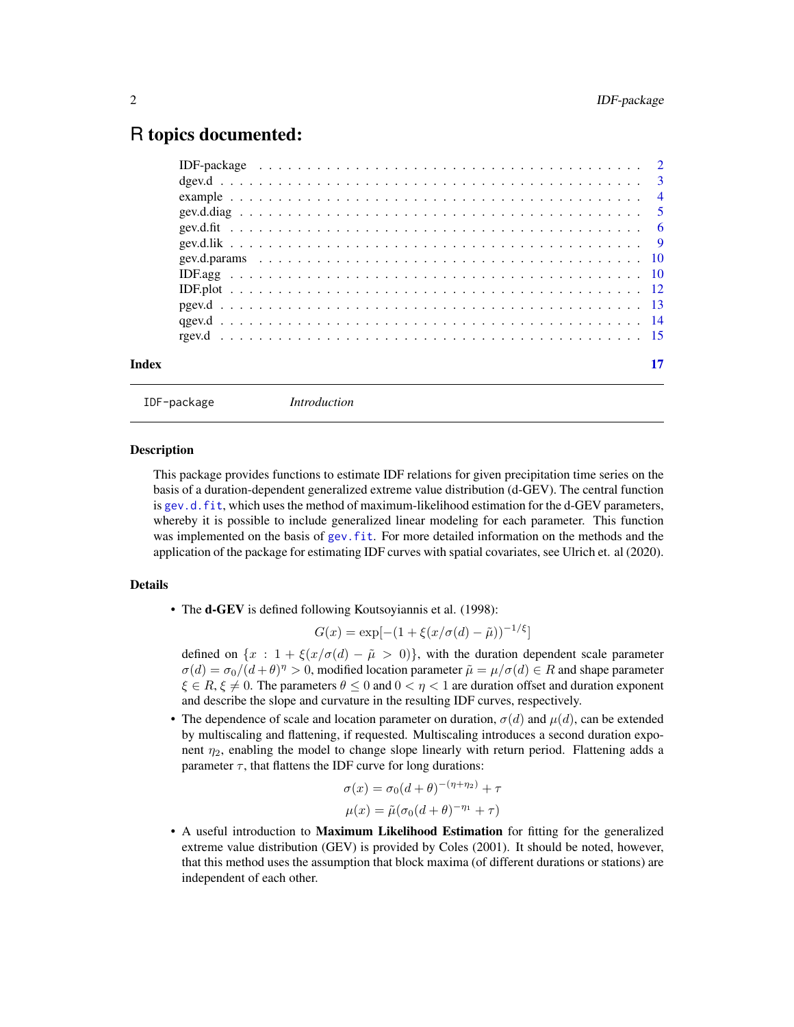## <span id="page-1-0"></span>R topics documented:

<span id="page-1-1"></span>

IDF-package *Introduction*

#### **Description**

This package provides functions to estimate IDF relations for given precipitation time series on the basis of a duration-dependent generalized extreme value distribution (d-GEV). The central function is [gev.d.fit](#page-5-1), which uses the method of maximum-likelihood estimation for the d-GEV parameters, whereby it is possible to include generalized linear modeling for each parameter. This function was implemented on the basis of gev. fit. For more detailed information on the methods and the application of the package for estimating IDF curves with spatial covariates, see Ulrich et. al (2020).

## Details

• The **d-GEV** is defined following Koutsoyiannis et al. (1998):

$$
G(x) = \exp[-(1 + \xi(x/\sigma(d) - \tilde{\mu}))^{-1/\xi}]
$$

defined on  $\{x : 1 + \xi(x/\sigma(d) - \tilde{\mu} > 0)\}\$ , with the duration dependent scale parameter  $\sigma(d) = \sigma_0/(d+\theta)^{\eta} > 0$ , modified location parameter  $\tilde{\mu} = \mu/\sigma(d) \in R$  and shape parameter  $\xi \in R$ ,  $\xi \neq 0$ . The parameters  $\theta \leq 0$  and  $0 < \eta < 1$  are duration offset and duration exponent and describe the slope and curvature in the resulting IDF curves, respectively.

• The dependence of scale and location parameter on duration,  $\sigma(d)$  and  $\mu(d)$ , can be extended by multiscaling and flattening, if requested. Multiscaling introduces a second duration exponent  $\eta_2$ , enabling the model to change slope linearly with return period. Flattening adds a parameter  $\tau$ , that flattens the IDF curve for long durations:

$$
\sigma(x) = \sigma_0(d+\theta)^{-(\eta+\eta_2)} + \tau
$$

$$
\mu(x) = \tilde{\mu}(\sigma_0(d+\theta)^{-\eta_1} + \tau)
$$

• A useful introduction to **Maximum Likelihood Estimation** for fitting for the generalized extreme value distribution (GEV) is provided by Coles (2001). It should be noted, however, that this method uses the assumption that block maxima (of different durations or stations) are independent of each other.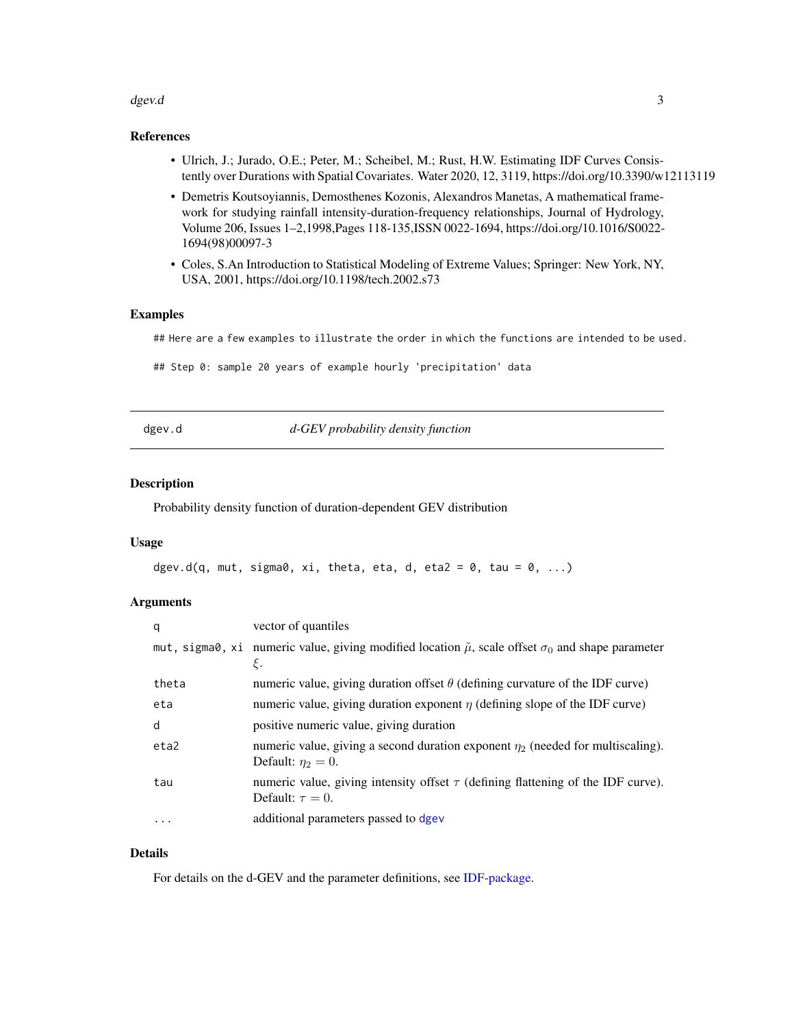#### <span id="page-2-0"></span> $\deg$ ev.d $\qquad \qquad \qquad$ 3

## References

- Ulrich, J.; Jurado, O.E.; Peter, M.; Scheibel, M.; Rust, H.W. Estimating IDF Curves Consistently over Durations with Spatial Covariates. Water 2020, 12, 3119, https://doi.org/10.3390/w12113119
- Demetris Koutsoyiannis, Demosthenes Kozonis, Alexandros Manetas, A mathematical framework for studying rainfall intensity-duration-frequency relationships, Journal of Hydrology, Volume 206, Issues 1–2,1998,Pages 118-135,ISSN 0022-1694, https://doi.org/10.1016/S0022- 1694(98)00097-3
- Coles, S.An Introduction to Statistical Modeling of Extreme Values; Springer: New York, NY, USA, 2001, https://doi.org/10.1198/tech.2002.s73

## Examples

## Here are a few examples to illustrate the order in which the functions are intended to be used.

## Step 0: sample 20 years of example hourly 'precipitation' data

<span id="page-2-1"></span>dgev.d *d-GEV probability density function*

#### Description

Probability density function of duration-dependent GEV distribution

#### Usage

```
dgev.d(q, mut, sigma0, xi, theta, eta, d, eta2 = 0, tau = 0, ...)
```
#### **Arguments**

| q        | vector of quantiles                                                                                                       |
|----------|---------------------------------------------------------------------------------------------------------------------------|
|          | mut, sigma0, xi numeric value, giving modified location $\tilde{\mu}$ , scale offset $\sigma_0$ and shape parameter<br>ε. |
| theta    | numeric value, giving duration offset $\theta$ (defining curvature of the IDF curve)                                      |
| eta      | numeric value, giving duration exponent $\eta$ (defining slope of the IDF curve)                                          |
| d        | positive numeric value, giving duration                                                                                   |
| eta2     | numeric value, giving a second duration exponent $\eta_2$ (needed for multiscaling).<br>Default: $\eta_2 = 0$ .           |
| tau      | numeric value, giving intensity offset $\tau$ (defining flattening of the IDF curve).<br>Default: $\tau = 0$ .            |
| $\cdots$ | additional parameters passed to dgev                                                                                      |

#### Details

For details on the d-GEV and the parameter definitions, see [IDF-package.](#page-1-1)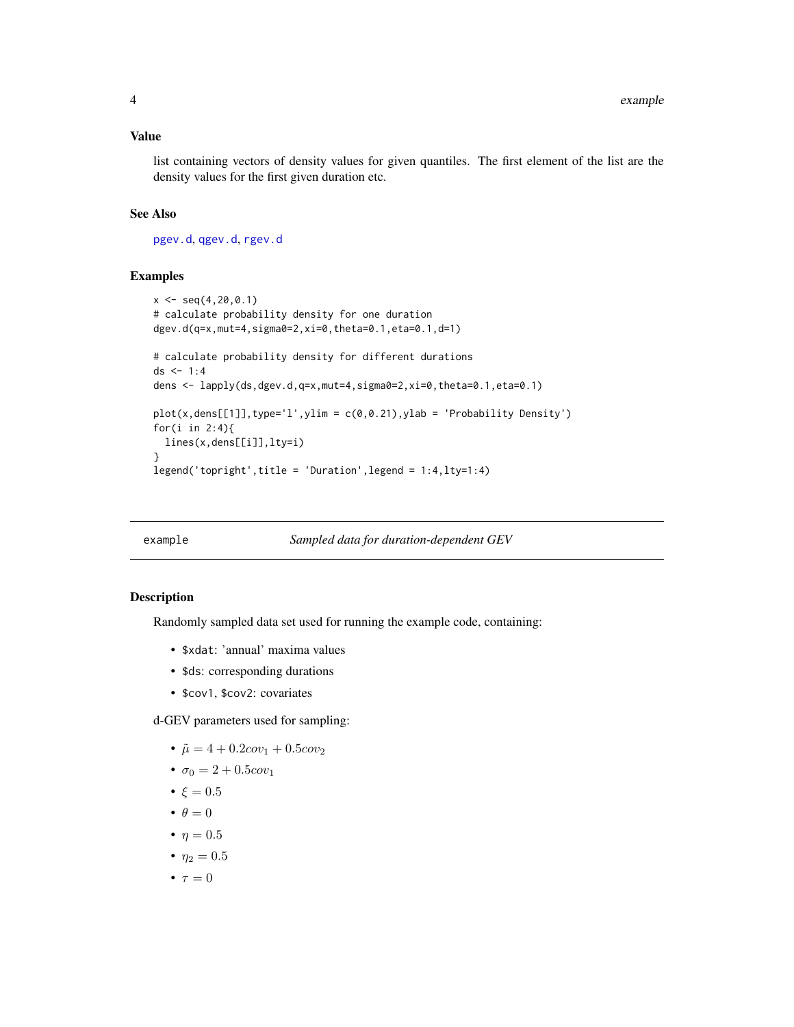#### <span id="page-3-0"></span>Value

list containing vectors of density values for given quantiles. The first element of the list are the density values for the first given duration etc.

#### See Also

[pgev.d](#page-12-1), [qgev.d](#page-13-1), [rgev.d](#page-14-1)

#### Examples

```
x \leq -\text{seq}(4, 20, 0.1)# calculate probability density for one duration
dgev.d(q=x,mut=4,sigma0=2,xi=0,theta=0.1,eta=0.1,d=1)
# calculate probability density for different durations
ds < -1:4dens <- lapply(ds,dgev.d,q=x,mut=4,sigma0=2,xi=0,theta=0.1,eta=0.1)
plot(x, dens[[1]], type='l', ylim = c(0, 0.21), ylab = 'Probability Density')for(i in 2:4){
 lines(x,dens[[i]],lty=i)
}
legend('topright',title = 'Duration',legend = 1:4,lty=1:4)
```
#### example *Sampled data for duration-dependent GEV*

#### Description

Randomly sampled data set used for running the example code, containing:

- \$xdat: 'annual' maxima values
- \$ds: corresponding durations
- \$cov1, \$cov2: covariates

d-GEV parameters used for sampling:

- $\tilde{\mu} = 4 + 0.2cov_1 + 0.5cov_2$
- $\sigma_0 = 2 + 0.5 cov_1$
- $\xi = 0.5$
- $\bullet$   $\theta = 0$
- $\eta = 0.5$
- $\eta_2 = 0.5$
- $\tau = 0$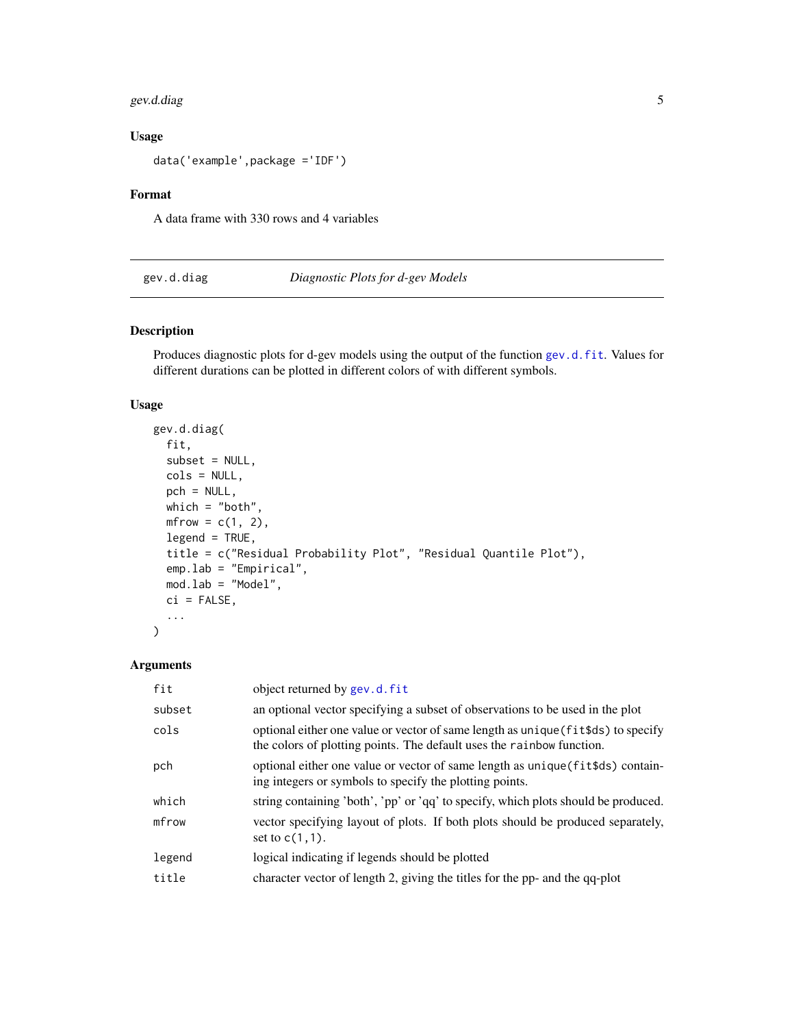#### <span id="page-4-0"></span>gev.d.diag 5

## Usage

data('example',package ='IDF')

## Format

A data frame with 330 rows and 4 variables

## gev.d.diag *Diagnostic Plots for d-gev Models*

#### Description

Produces diagnostic plots for d-gev models using the output of the function [gev.d.fit](#page-5-1). Values for different durations can be plotted in different colors of with different symbols.

## Usage

```
gev.d.diag(
  fit,
  subset = NULL,
  cols = NULL,
 pch = NULL,
 which = "both",
 mfrow = c(1, 2),
  legend = TRUE,title = c("Residual Probability Plot", "Residual Quantile Plot"),
  emp.lab = "Empirical",
 mod.lab = "Model",
 ci = FALSE,...
)
```

| fit    | object returned by gev.d.fit                                                                                                                               |
|--------|------------------------------------------------------------------------------------------------------------------------------------------------------------|
| subset | an optional vector specifying a subset of observations to be used in the plot                                                                              |
| cols   | optional either one value or vector of same length as unique (fits ds) to specify<br>the colors of plotting points. The default uses the rainbow function. |
| pch    | optional either one value or vector of same length as unique (fit\$ds) contain-<br>ing integers or symbols to specify the plotting points.                 |
| which  | string containing 'both', 'pp' or 'qq' to specify, which plots should be produced.                                                                         |
| mfrow  | vector specifying layout of plots. If both plots should be produced separately,<br>set to $c(1,1)$ .                                                       |
| legend | logical indicating if legends should be plotted                                                                                                            |
| title  | character vector of length 2, giving the titles for the pp- and the qq-plot                                                                                |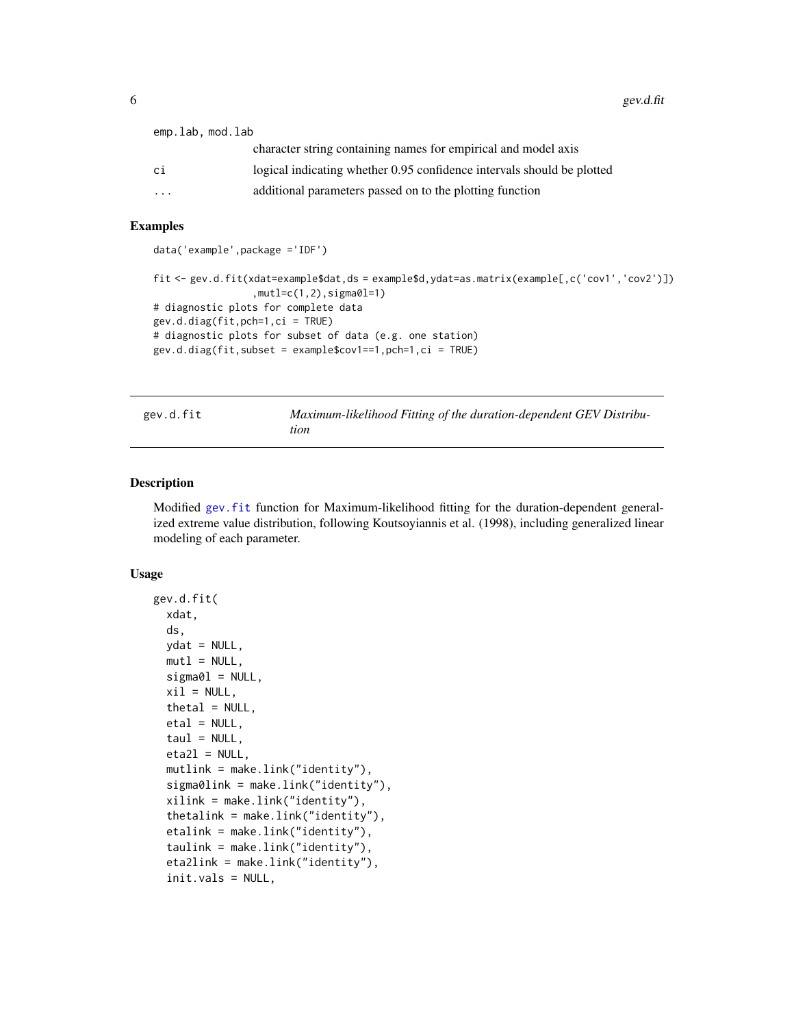<span id="page-5-0"></span> $6$  gev.d.fit

| emp.lab.mod.lab |                                                                        |
|-----------------|------------------------------------------------------------------------|
|                 | character string containing names for empirical and model axis         |
| сi              | logical indicating whether 0.95 confidence intervals should be plotted |
| $\cdots$        | additional parameters passed on to the plotting function               |
|                 |                                                                        |

#### Examples

```
data('example',package ='IDF')
fit <- gev.d.fit(xdat=example$dat,ds = example$d,ydat=as.matrix(example[,c('cov1','cov2')])
                 ,mutl=c(1,2),sigma0l=1)
# diagnostic plots for complete data
gev.d.diag(fit,pch=1,ci = TRUE)
# diagnostic plots for subset of data (e.g. one station)
gev.d.diag(fit,subset = example$cov1==1,pch=1,ci = TRUE)
```
<span id="page-5-1"></span>gev.d.fit *Maximum-likelihood Fitting of the duration-dependent GEV Distribution*

#### Description

Modified [gev.fit](#page-0-0) function for Maximum-likelihood fitting for the duration-dependent generalized extreme value distribution, following Koutsoyiannis et al. (1998), including generalized linear modeling of each parameter.

#### Usage

```
gev.d.fit(
 xdat,
 ds,
 ydat = NULL,mut1 = NULL,signal = NULL,xil = NULL,theta = NULL,etal = NULL,tau = NULL,eta2l = NULL,mutlink = make.link("identity"),
  sigma0link = make.link("identity"),
  xilink = make.link("identity"),
  thetalink = make.link("identity"),
  etalink = make.link("identity"),
  taulink = make.link("identity"),
  eta2link = make.link("identity"),
  init.vals = NULL,
```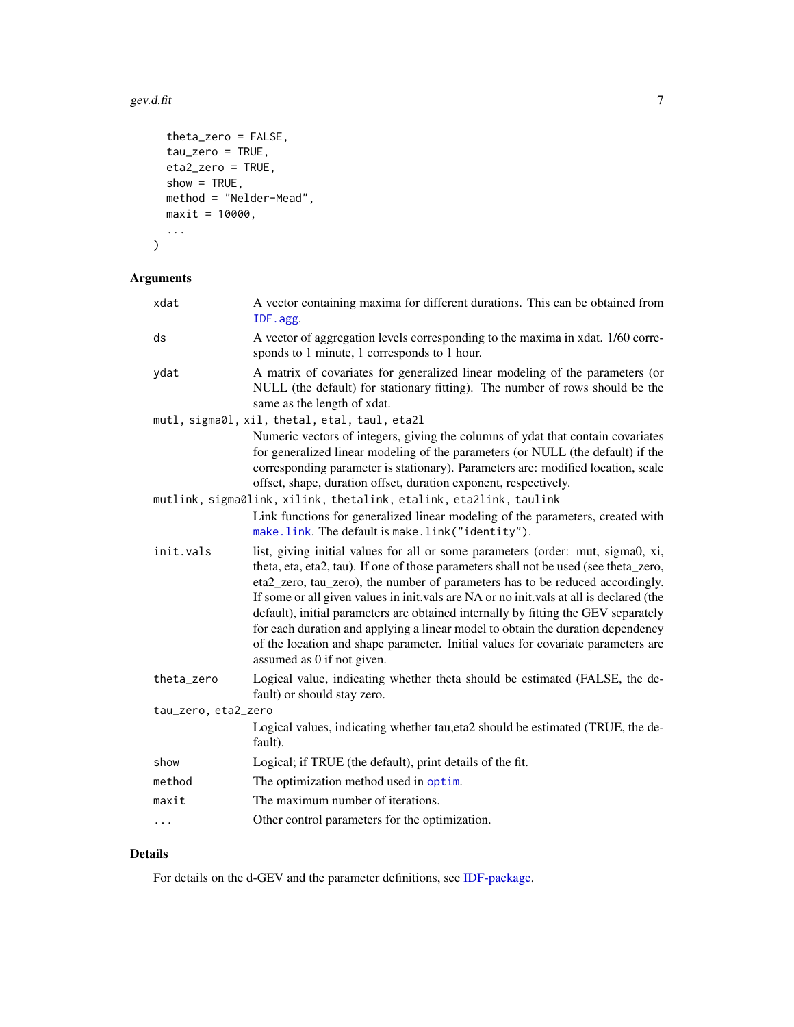#### <span id="page-6-0"></span>gev.d.fit  $\overline{7}$

```
theta_zero = FALSE,
 tau_zero = TRUE,
 eta2_zero = TRUE,
 show = TRUE,
 method = "Nelder-Mead",
 maxit = 10000,...
\mathcal{L}
```
## Arguments

| xdat                | A vector containing maxima for different durations. This can be obtained from<br>IDF.agg.                                                                                                                                                                                                                                                                                                                                                                                                                                                                                                                                                       |
|---------------------|-------------------------------------------------------------------------------------------------------------------------------------------------------------------------------------------------------------------------------------------------------------------------------------------------------------------------------------------------------------------------------------------------------------------------------------------------------------------------------------------------------------------------------------------------------------------------------------------------------------------------------------------------|
| ds                  | A vector of aggregation levels corresponding to the maxima in xdat. 1/60 corre-<br>sponds to 1 minute, 1 corresponds to 1 hour.                                                                                                                                                                                                                                                                                                                                                                                                                                                                                                                 |
| ydat                | A matrix of covariates for generalized linear modeling of the parameters (or<br>NULL (the default) for stationary fitting). The number of rows should be the<br>same as the length of xdat.                                                                                                                                                                                                                                                                                                                                                                                                                                                     |
|                     | mutl, sigma0l, xil, thetal, etal, taul, eta2l                                                                                                                                                                                                                                                                                                                                                                                                                                                                                                                                                                                                   |
|                     | Numeric vectors of integers, giving the columns of ydat that contain covariates<br>for generalized linear modeling of the parameters (or NULL (the default) if the<br>corresponding parameter is stationary). Parameters are: modified location, scale<br>offset, shape, duration offset, duration exponent, respectively.                                                                                                                                                                                                                                                                                                                      |
|                     | mutlink, sigma0link, xilink, thetalink, etalink, eta2link, taulink                                                                                                                                                                                                                                                                                                                                                                                                                                                                                                                                                                              |
|                     | Link functions for generalized linear modeling of the parameters, created with<br>make.link. The default is make.link("identity").                                                                                                                                                                                                                                                                                                                                                                                                                                                                                                              |
| init.vals           | list, giving initial values for all or some parameters (order: mut, sigma0, xi,<br>theta, eta, eta2, tau). If one of those parameters shall not be used (see theta_zero,<br>eta2_zero, tau_zero), the number of parameters has to be reduced accordingly.<br>If some or all given values in init.vals are NA or no init.vals at all is declared (the<br>default), initial parameters are obtained internally by fitting the GEV separately<br>for each duration and applying a linear model to obtain the duration dependency<br>of the location and shape parameter. Initial values for covariate parameters are<br>assumed as 0 if not given. |
| theta_zero          | Logical value, indicating whether theta should be estimated (FALSE, the de-<br>fault) or should stay zero.                                                                                                                                                                                                                                                                                                                                                                                                                                                                                                                                      |
| tau_zero, eta2_zero |                                                                                                                                                                                                                                                                                                                                                                                                                                                                                                                                                                                                                                                 |
|                     | Logical values, indicating whether tau, eta2 should be estimated (TRUE, the de-<br>fault).                                                                                                                                                                                                                                                                                                                                                                                                                                                                                                                                                      |
| show                | Logical; if TRUE (the default), print details of the fit.                                                                                                                                                                                                                                                                                                                                                                                                                                                                                                                                                                                       |
| method              | The optimization method used in optim.                                                                                                                                                                                                                                                                                                                                                                                                                                                                                                                                                                                                          |
| maxit               | The maximum number of iterations.                                                                                                                                                                                                                                                                                                                                                                                                                                                                                                                                                                                                               |
| $\cdots$            | Other control parameters for the optimization.                                                                                                                                                                                                                                                                                                                                                                                                                                                                                                                                                                                                  |
|                     |                                                                                                                                                                                                                                                                                                                                                                                                                                                                                                                                                                                                                                                 |

## Details

For details on the d-GEV and the parameter definitions, see [IDF-package.](#page-1-1)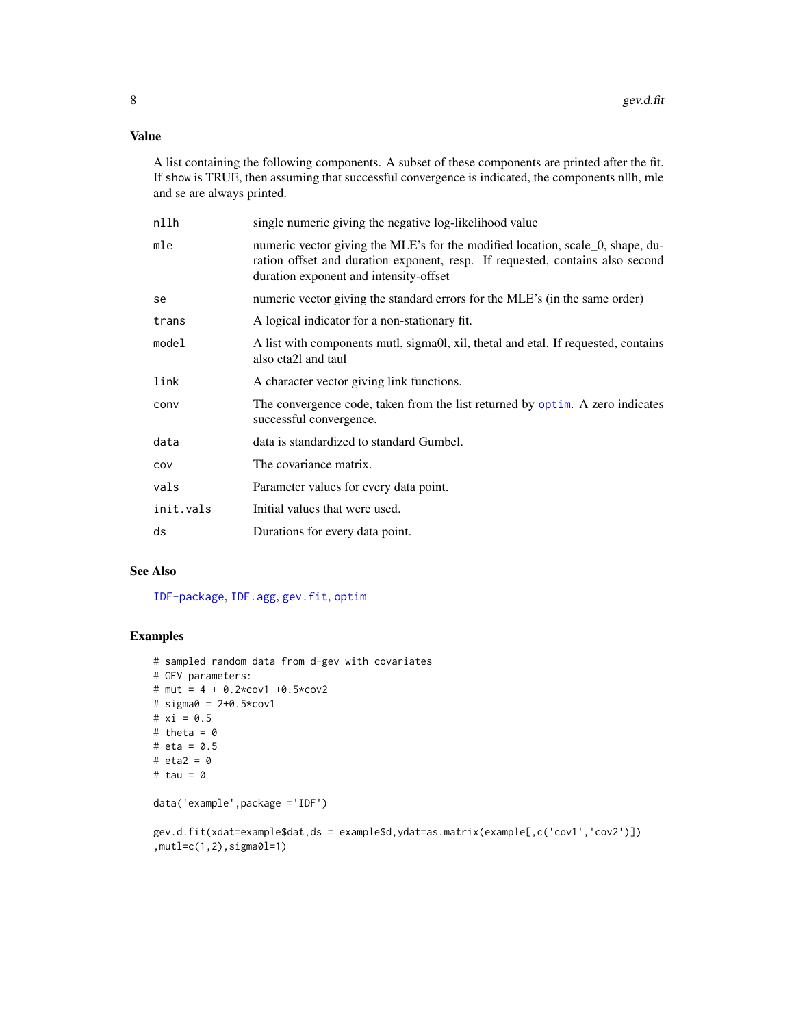## <span id="page-7-0"></span>Value

A list containing the following components. A subset of these components are printed after the fit. If show is TRUE, then assuming that successful convergence is indicated, the components nllh, mle and se are always printed.

| nllh      | single numeric giving the negative log-likelihood value                                                                                                                                                   |
|-----------|-----------------------------------------------------------------------------------------------------------------------------------------------------------------------------------------------------------|
| mle       | numeric vector giving the MLE's for the modified location, scale 0, shape, du-<br>ration offset and duration exponent, resp. If requested, contains also second<br>duration exponent and intensity-offset |
| se        | numeric vector giving the standard errors for the MLE's (in the same order)                                                                                                                               |
| trans     | A logical indicator for a non-stationary fit.                                                                                                                                                             |
| model     | A list with components mutl, sigma0l, xil, thetal and etal. If requested, contains<br>also eta2l and taul                                                                                                 |
| link      | A character vector giving link functions.                                                                                                                                                                 |
| conv      | The convergence code, taken from the list returned by optim. A zero indicates<br>successful convergence.                                                                                                  |
| data      | data is standardized to standard Gumbel.                                                                                                                                                                  |
| cov       | The covariance matrix.                                                                                                                                                                                    |
| vals      | Parameter values for every data point.                                                                                                                                                                    |
| init.vals | Initial values that were used.                                                                                                                                                                            |
| ds        | Durations for every data point.                                                                                                                                                                           |
|           |                                                                                                                                                                                                           |

## See Also

[IDF-package](#page-1-1), [IDF.agg](#page-9-1), [gev.fit](#page-0-0), [optim](#page-0-0)

### Examples

```
# sampled random data from d-gev with covariates
# GEV parameters:
# mut = 4 + 0.2*cov1 +0.5*cov2
# sigma0 = 2+0.5*cov1
# xi = 0.5
# theta = 0# eta = 0.5
# eta2 = 0# tau = 0
data('example',package ='IDF')
```
gev.d.fit(xdat=example\$dat,ds = example\$d,ydat=as.matrix(example[,c('cov1','cov2')]) ,mutl=c(1,2),sigma0l=1)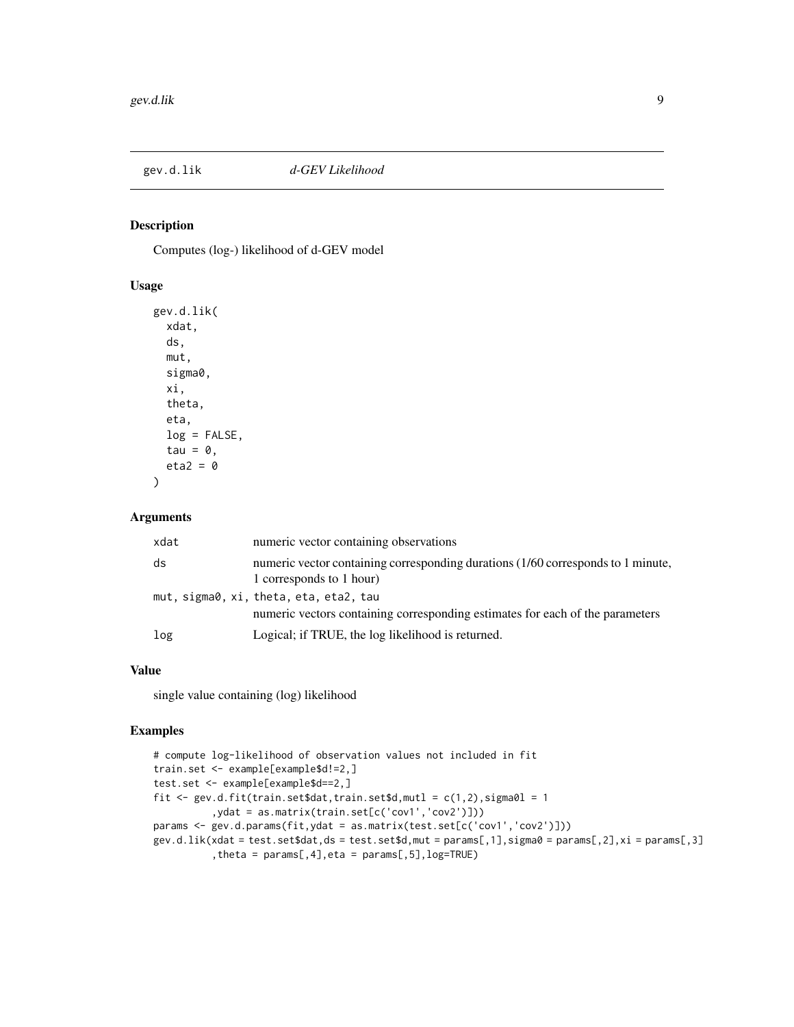<span id="page-8-0"></span>

#### Description

Computes (log-) likelihood of d-GEV model

## Usage

```
gev.d.lik(
  xdat,
  ds,
  mut,
  sigma0,
  xi,
  theta,
  eta,
  log = FALSE,
  tau = \theta,
  eta2 = 0)
```
#### Arguments

| xdat | numeric vector containing observations                                                                                  |
|------|-------------------------------------------------------------------------------------------------------------------------|
| ds   | numeric vector containing corresponding durations (1/60 corresponds to 1 minute,<br>1 corresponds to 1 hour)            |
|      | mut, sigma0, xi, theta, eta, eta2, tau<br>numeric vectors containing corresponding estimates for each of the parameters |
| log  | Logical; if TRUE, the log likelihood is returned.                                                                       |

### Value

single value containing (log) likelihood

#### Examples

```
# compute log-likelihood of observation values not included in fit
train.set <- example[example$d!=2,]
test.set <- example[example$d==2,]
fit \leq gev.d.fit(train.set$dat,train.set$d,mutl = c(1,2),sigma0l = 1
          ,ydat = as.matrix(train.set[c('cov1','cov2')]))
params <- gev.d.params(fit,ydat = as.matrix(test.set[c('cov1','cov2')]))
gev.d.lik(xdat = test.set$dat,ds = test.set$d,mut = params[,1],sigma0 = params[,2],xi = params[,3]
          ,theta = params[,4],eta = params[,5],log=TRUE)
```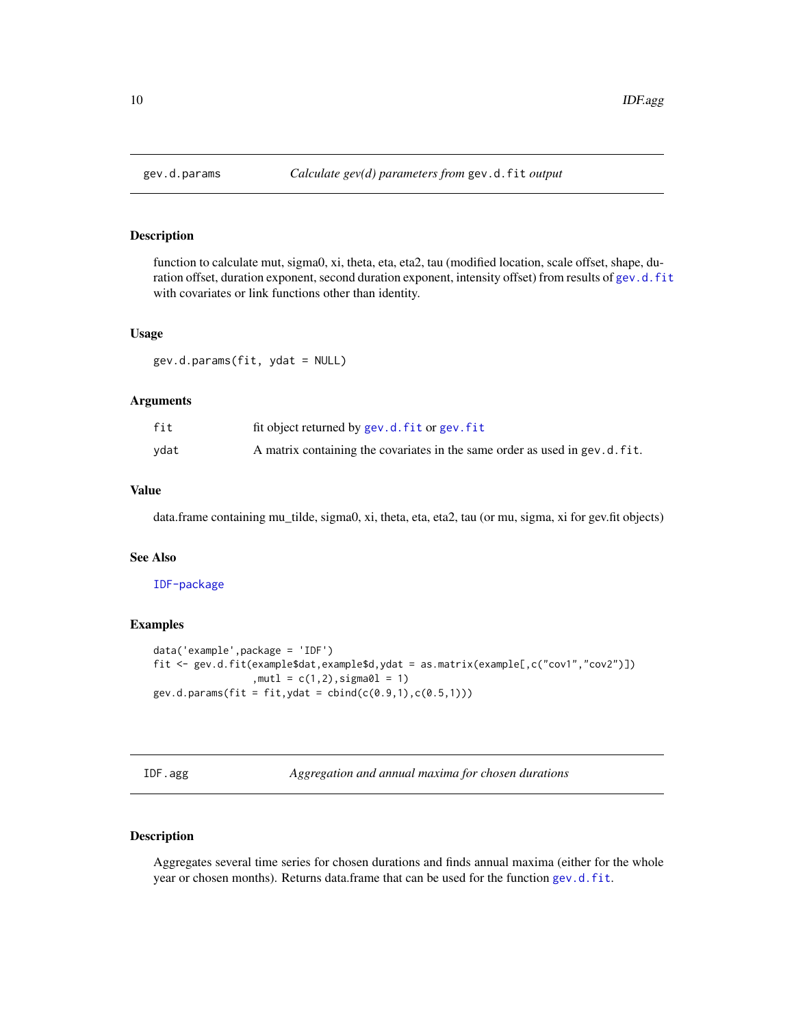## Description

function to calculate mut, sigma0, xi, theta, eta, eta2, tau (modified location, scale offset, shape, duration offset, duration exponent, second duration exponent, intensity offset) from results of [gev.d.fit](#page-5-1) with covariates or link functions other than identity.

#### Usage

gev.d.params(fit, ydat = NULL)

#### Arguments

| fit  | fit object returned by gev.d.fit or gev.fit                                |
|------|----------------------------------------------------------------------------|
| vdat | A matrix containing the covariates in the same order as used in gev.d.fit. |

## Value

data.frame containing mu\_tilde, sigma0, xi, theta, eta, eta2, tau (or mu, sigma, xi for gev.fit objects)

#### See Also

[IDF-package](#page-1-1)

#### Examples

```
data('example',package = 'IDF')
fit <- gev.d.fit(example$dat,example$d,ydat = as.matrix(example[,c("cov1","cov2")])
                  , \text{mutl} = c(1, 2), \text{sigma0l} = 1)gev.d.params(fit = fit, ydat = cbind(c(0.9,1), c(0.5,1)))
```
<span id="page-9-1"></span>IDF.agg *Aggregation and annual maxima for chosen durations*

## Description

Aggregates several time series for chosen durations and finds annual maxima (either for the whole year or chosen months). Returns data.frame that can be used for the function [gev.d.fit](#page-5-1).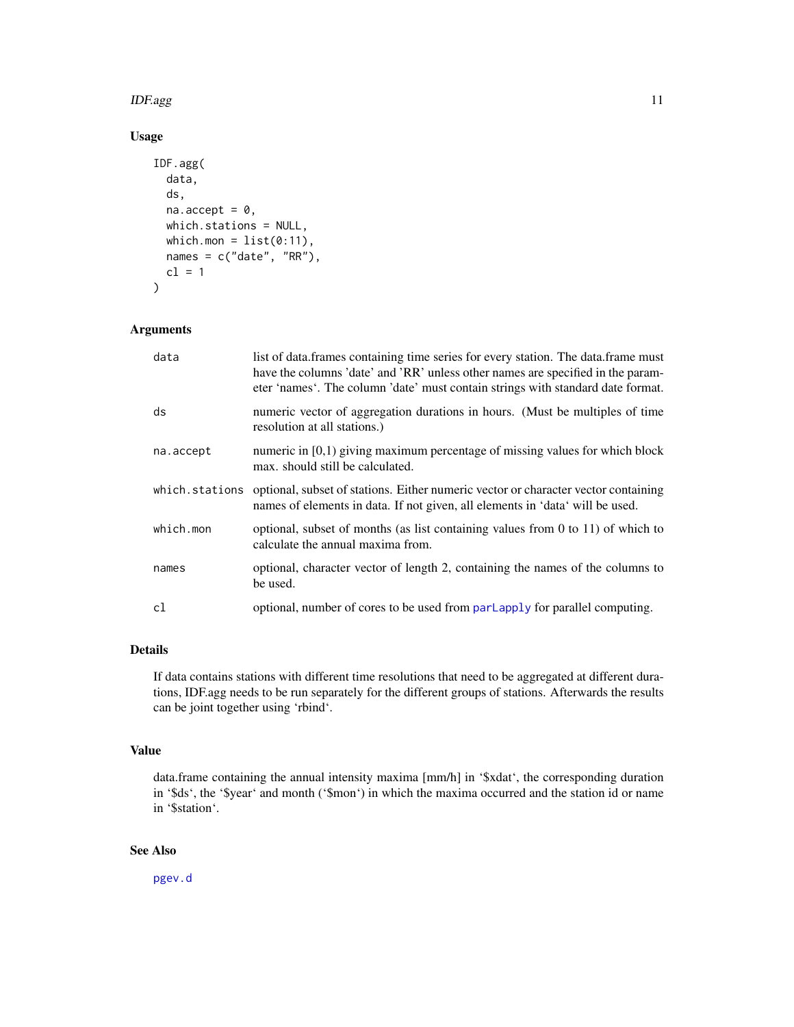#### <span id="page-10-0"></span> $IDF.agg$  and  $11$

## Usage

```
IDF.agg(
  data,
  ds,
  na. accept = 0,
  which.stations = NULL,
 which.mon = list(0:11),
  names = c("date", "RR"),
  cl = 1)
```
## Arguments

| data           | list of data.frames containing time series for every station. The data.frame must<br>have the columns 'date' and 'RR' unless other names are specified in the param-<br>eter 'names'. The column 'date' must contain strings with standard date format. |
|----------------|---------------------------------------------------------------------------------------------------------------------------------------------------------------------------------------------------------------------------------------------------------|
| ds             | numeric vector of aggregation durations in hours. (Must be multiples of time<br>resolution at all stations.)                                                                                                                                            |
| na.accept      | numeric in $[0,1)$ giving maximum percentage of missing values for which block<br>max. should still be calculated.                                                                                                                                      |
| which.stations | optional, subset of stations. Either numeric vector or character vector containing<br>names of elements in data. If not given, all elements in 'data' will be used.                                                                                     |
| which.mon      | optional, subset of months (as list containing values from $0$ to $11$ ) of which to<br>calculate the annual maxima from.                                                                                                                               |
| names          | optional, character vector of length 2, containing the names of the columns to<br>be used.                                                                                                                                                              |
| c1             | optional, number of cores to be used from parl apply for parallel computing.                                                                                                                                                                            |

## Details

If data contains stations with different time resolutions that need to be aggregated at different durations, IDF.agg needs to be run separately for the different groups of stations. Afterwards the results can be joint together using 'rbind'.

## Value

data.frame containing the annual intensity maxima [mm/h] in '\$xdat', the corresponding duration in '\$ds', the '\$year' and month ('\$mon') in which the maxima occurred and the station id or name in '\$station'.

## See Also

[pgev.d](#page-12-1)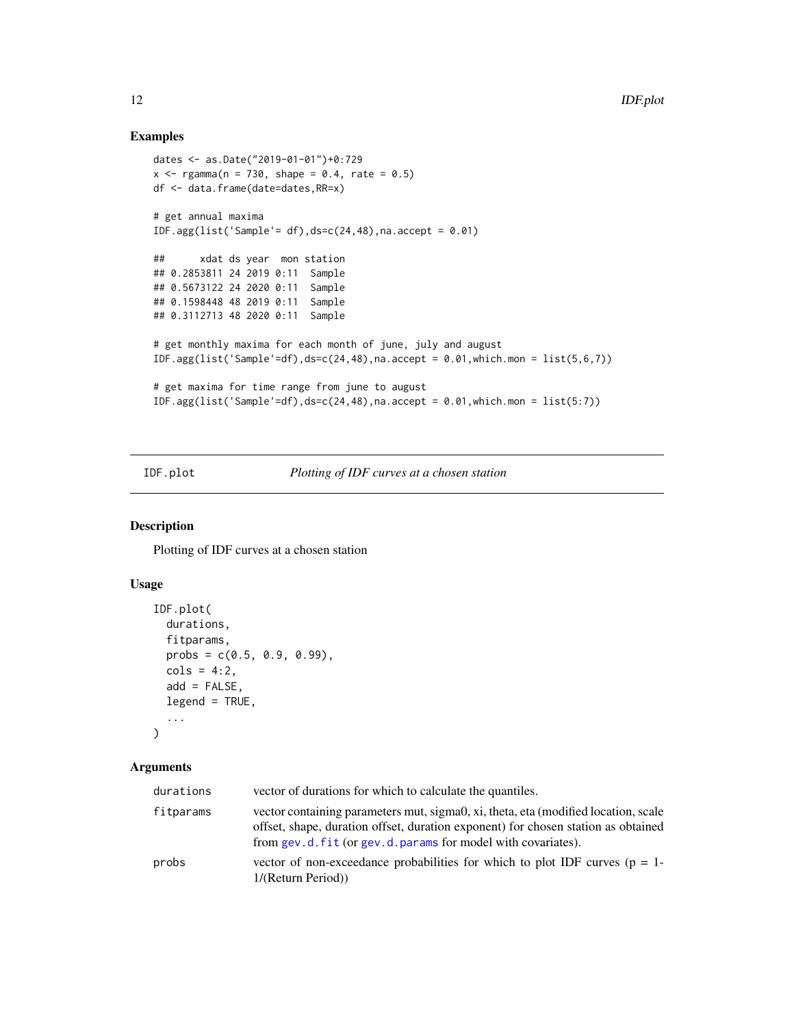## Examples

```
dates <- as.Date("2019-01-01")+0:729
x \leq - \text{rgamma}(n = 730, \text{ shape} = 0.4, \text{ rate} = 0.5)df <- data.frame(date=dates,RR=x)
# get annual maxima
IDF.agg(list('Sample'= df),ds=c(24,48),na.accept = 0.01)
## xdat ds year mon station
## 0.2853811 24 2019 0:11 Sample
## 0.5673122 24 2020 0:11 Sample
## 0.1598448 48 2019 0:11 Sample
## 0.3112713 48 2020 0:11 Sample
# get monthly maxima for each month of june, july and august
IDF.agg(list('Sample'=df), ds=c(24,48),na. accept = 0.01, which.mon = list(5,6,7))# get maxima for time range from june to august
IDF.agg(list('Sample'=df),ds=c(24,48),na.accept = 0.01,which.mon = list(5:7))
```
IDF.plot *Plotting of IDF curves at a chosen station*

#### Description

Plotting of IDF curves at a chosen station

## Usage

```
IDF.plot(
  durations,
  fitparams,
 probs = c(0.5, 0.9, 0.99),
  \text{cols} = 4:2,add = FALSE,legend = TRUE,
  ...
)
```

| durations | vector of durations for which to calculate the quantiles.                                                                                                                                                                                |
|-----------|------------------------------------------------------------------------------------------------------------------------------------------------------------------------------------------------------------------------------------------|
| fitparams | vector containing parameters mut, sigma0, xi, theta, eta (modified location, scale<br>offset, shape, duration offset, duration exponent) for chosen station as obtained<br>from gev.d. fit (or gev.d. params for model with covariates). |
| probs     | vector of non-exceedance probabilities for which to plot IDF curves ( $p = 1$ -<br>1/(Return Period))                                                                                                                                    |

<span id="page-11-0"></span>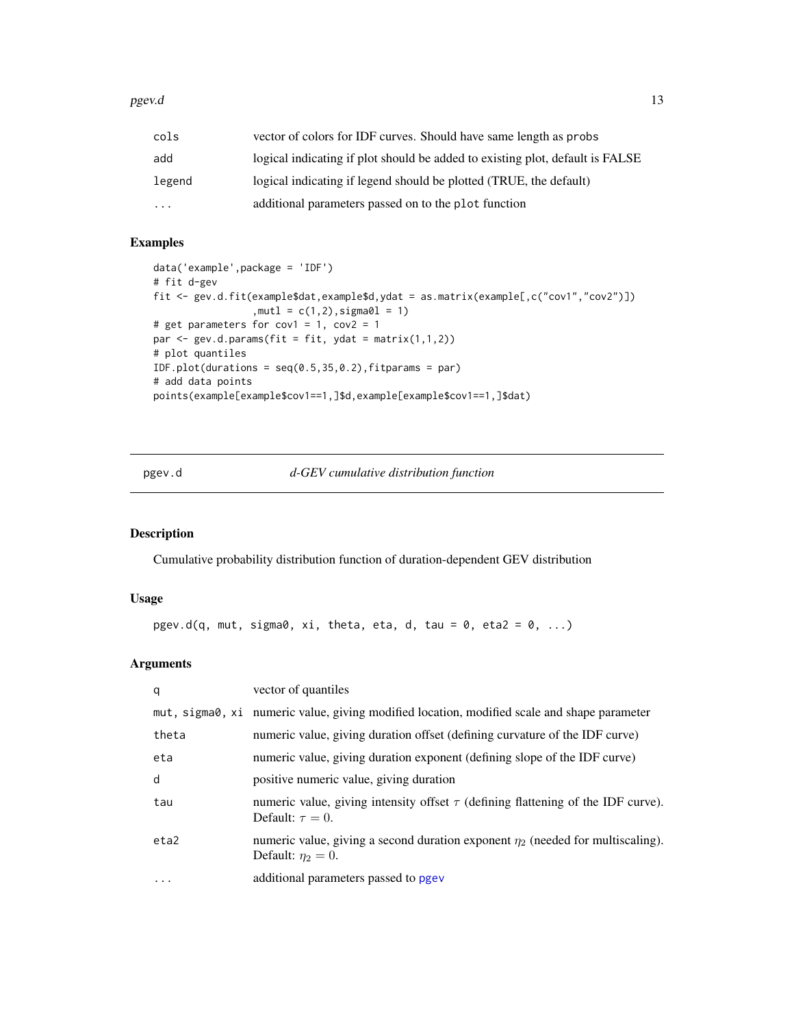#### <span id="page-12-0"></span>pgev.d the contract of the contract of the contract of the contract of the contract of the contract of the contract of the contract of the contract of the contract of the contract of the contract of the contract of the con

| cols      | vector of colors for IDF curves. Should have same length as probs             |
|-----------|-------------------------------------------------------------------------------|
| add       | logical indicating if plot should be added to existing plot, default is FALSE |
| legend    | logical indicating if legend should be plotted (TRUE, the default)            |
| $\ddotsc$ | additional parameters passed on to the plot function                          |

## Examples

```
data('example',package = 'IDF')
# fit d-gev
fit <- gev.d.fit(example$dat,example$d,ydat = as.matrix(example[,c("cov1","cov2")])
                  , \text{mutl} = c(1, 2), \text{sigma0l} = 1)# get parameters for cov1 = 1, cov2 = 1
par <- gev.d.params(fit = fit, ydat = matrix(1,1,2))
# plot quantiles
IDF.plot(durations = seq(0.5, 35, 0.2), fitparams = par)
# add data points
points(example[example$cov1==1,]$d,example[example$cov1==1,]$dat)
```
<span id="page-12-1"></span>pgev.d *d-GEV cumulative distribution function*

## Description

Cumulative probability distribution function of duration-dependent GEV distribution

## Usage

```
pgev.d(q, mut, sigma0, xi, theta, eta, d, tau = 0, eta2 = 0, ...)
```

| q                 | vector of quantiles                                                                                             |
|-------------------|-----------------------------------------------------------------------------------------------------------------|
|                   | mut, sigma0, xi numeric value, giving modified location, modified scale and shape parameter                     |
| theta             | numeric value, giving duration offset (defining curvature of the IDF curve)                                     |
| eta               | numeric value, giving duration exponent (defining slope of the IDF curve)                                       |
| d                 | positive numeric value, giving duration                                                                         |
| tau               | numeric value, giving intensity offset $\tau$ (defining flattening of the IDF curve).<br>Default: $\tau = 0$ .  |
| eta2              | numeric value, giving a second duration exponent $\eta_2$ (needed for multiscaling).<br>Default: $\eta_2 = 0$ . |
| $\cdot\cdot\cdot$ | additional parameters passed to pgev                                                                            |
|                   |                                                                                                                 |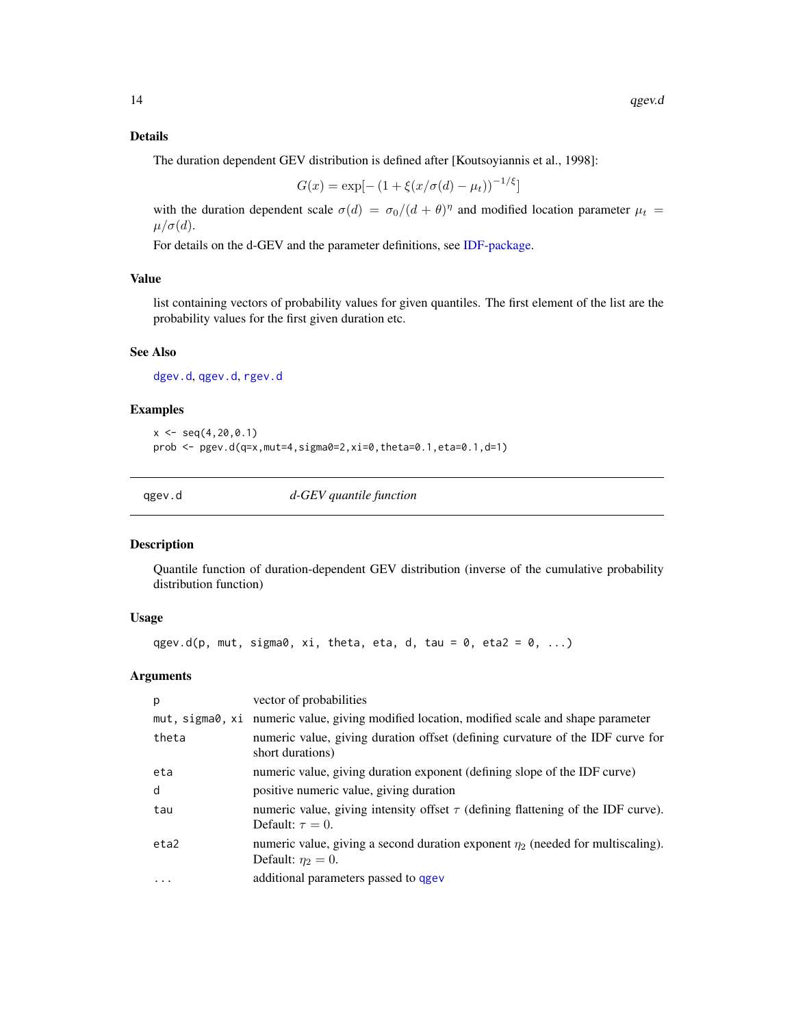## <span id="page-13-0"></span>Details

The duration dependent GEV distribution is defined after [Koutsoyiannis et al., 1998]:

$$
G(x) = \exp[-(1 + \xi(x/\sigma(d) - \mu_t))^{-1/\xi}]
$$

with the duration dependent scale  $\sigma(d) = \sigma_0/(d + \theta)^\eta$  and modified location parameter  $\mu_t$  $\mu/\sigma(d)$ .

For details on the d-GEV and the parameter definitions, see [IDF-package.](#page-1-1)

## Value

list containing vectors of probability values for given quantiles. The first element of the list are the probability values for the first given duration etc.

#### See Also

[dgev.d](#page-2-1), [qgev.d](#page-13-1), [rgev.d](#page-14-1)

#### Examples

 $x \leq -\text{seq}(4, 20, 0.1)$ prob <- pgev.d(q=x,mut=4,sigma0=2,xi=0,theta=0.1,eta=0.1,d=1)

<span id="page-13-1"></span>

qgev.d *d-GEV quantile function*

#### Description

Quantile function of duration-dependent GEV distribution (inverse of the cumulative probability distribution function)

#### Usage

qgev.d(p, mut, sigma0, xi, theta, eta, d, tau = 0, eta2 = 0, ...)

| p         | vector of probabilities                                                                                         |
|-----------|-----------------------------------------------------------------------------------------------------------------|
|           | mut, sigma0, xi numeric value, giving modified location, modified scale and shape parameter                     |
| theta     | numeric value, giving duration offset (defining curvature of the IDF curve for<br>short durations)              |
| eta       | numeric value, giving duration exponent (defining slope of the IDF curve)                                       |
| d         | positive numeric value, giving duration                                                                         |
| tau       | numeric value, giving intensity offset $\tau$ (defining flattening of the IDF curve).<br>Default: $\tau = 0$ .  |
| eta2      | numeric value, giving a second duration exponent $\eta_2$ (needed for multiscaling).<br>Default: $\eta_2 = 0$ . |
| $\ddotsc$ | additional parameters passed to qgev                                                                            |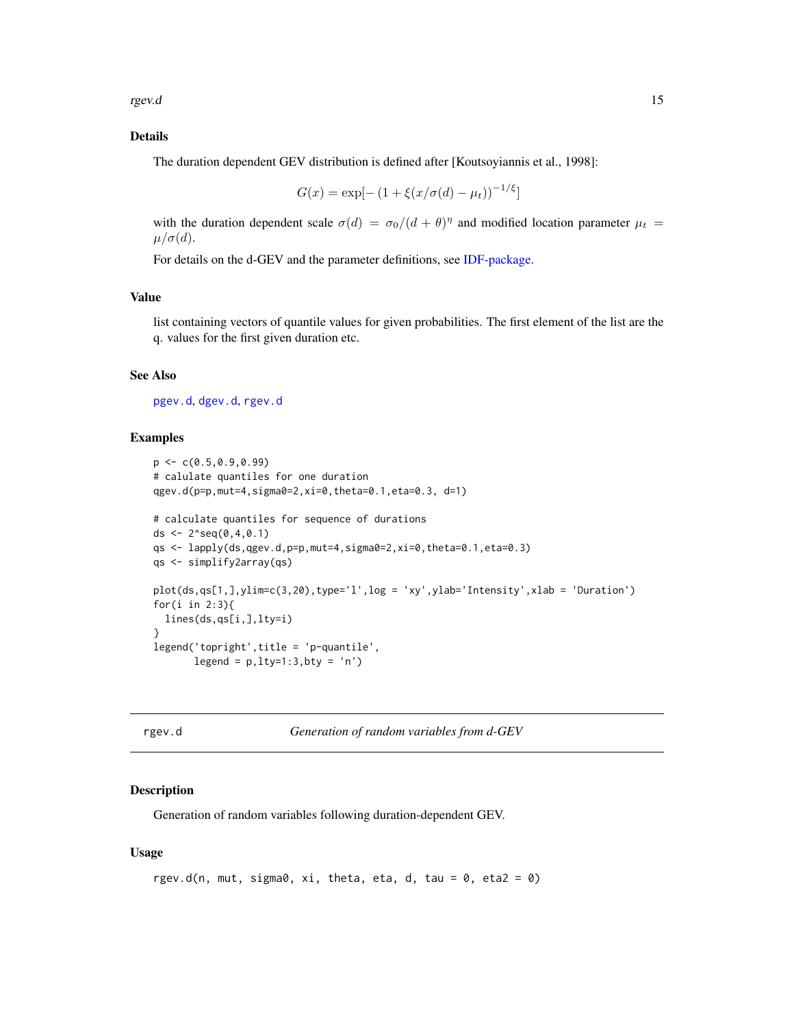<span id="page-14-0"></span>rgev.d is a state of the state of the state of the state of the state of the state of the state of the state of the state of the state of the state of the state of the state of the state of the state of the state of the st

## Details

The duration dependent GEV distribution is defined after [Koutsoyiannis et al., 1998]:

$$
G(x) = \exp[-(1 + \xi(x/\sigma(d) - \mu_t))^{-1/\xi}]
$$

with the duration dependent scale  $\sigma(d) = \sigma_0/(d + \theta)^\eta$  and modified location parameter  $\mu_t$  $\mu/\sigma(d)$ .

For details on the d-GEV and the parameter definitions, see [IDF-package.](#page-1-1)

#### Value

list containing vectors of quantile values for given probabilities. The first element of the list are the q. values for the first given duration etc.

#### See Also

[pgev.d](#page-12-1), [dgev.d](#page-2-1), [rgev.d](#page-14-1)

#### Examples

```
p \leq C(0.5, 0.9, 0.99)# calulate quantiles for one duration
qgev.d(p=p,mut=4,sigma0=2,xi=0,theta=0.1,eta=0.3, d=1)
# calculate quantiles for sequence of durations
ds \leq 2^seq(0,4,0.1)
qs <- lapply(ds,qgev.d,p=p,mut=4,sigma0=2,xi=0,theta=0.1,eta=0.3)
qs <- simplify2array(qs)
plot(ds,qs[1,],ylim=c(3,20),type='l',log = 'xy',ylab='Intensity',xlab = 'Duration')
for(i in 2:3){
  lines(ds,qs[i,],lty=i)
}
legend('topright',title = 'p-quantile',
       legend = p, lty=1:3, bty = 'n')
```
<span id="page-14-1"></span>

```
rgev.d Generation of random variables from d-GEV
```
## Description

Generation of random variables following duration-dependent GEV.

#### Usage

```
rgev.d(n, mut, sigma0, xi, theta, eta, d, tau = 0, eta2 = 0)
```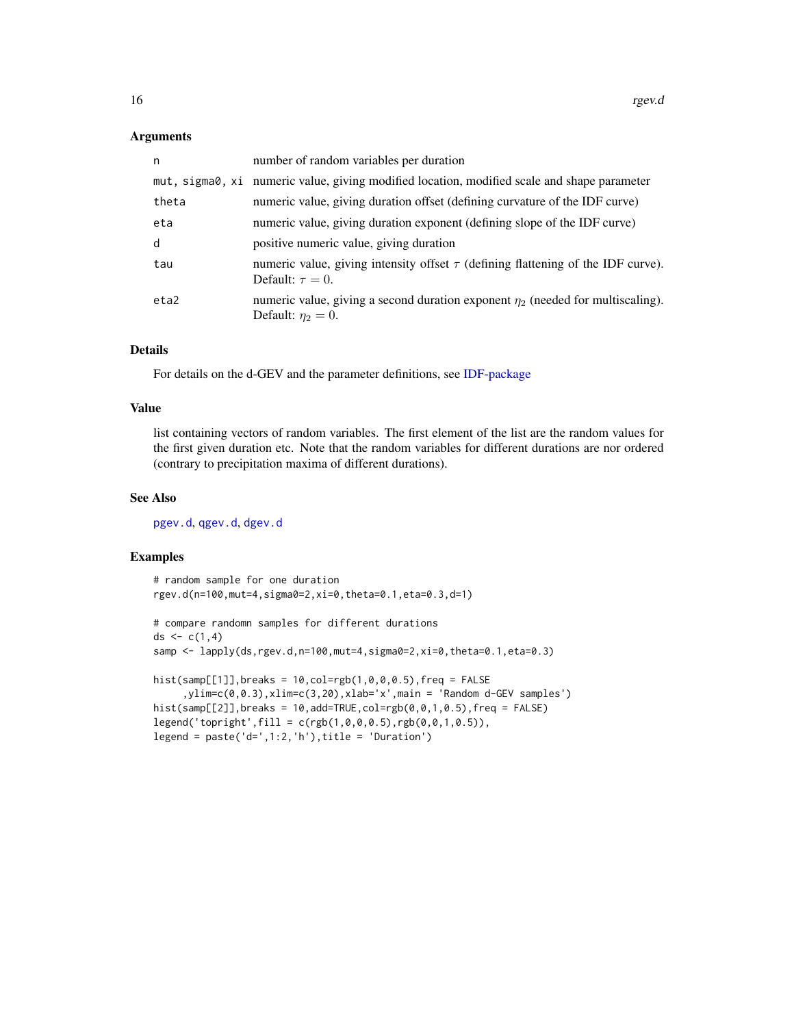#### <span id="page-15-0"></span>**Arguments**

| n     | number of random variables per duration                                                                         |
|-------|-----------------------------------------------------------------------------------------------------------------|
|       | mut, sigma0, xi numeric value, giving modified location, modified scale and shape parameter                     |
| theta | numeric value, giving duration offset (defining curvature of the IDF curve)                                     |
| eta   | numeric value, giving duration exponent (defining slope of the IDF curve)                                       |
| d     | positive numeric value, giving duration                                                                         |
| tau   | numeric value, giving intensity offset $\tau$ (defining flattening of the IDF curve).<br>Default: $\tau = 0$ .  |
| eta2  | numeric value, giving a second duration exponent $\eta_2$ (needed for multiscaling).<br>Default: $\eta_2 = 0$ . |

## Details

For details on the d-GEV and the parameter definitions, see [IDF-package](#page-1-1)

#### Value

list containing vectors of random variables. The first element of the list are the random values for the first given duration etc. Note that the random variables for different durations are nor ordered (contrary to precipitation maxima of different durations).

#### See Also

[pgev.d](#page-12-1), [qgev.d](#page-13-1), [dgev.d](#page-2-1)

### Examples

```
# random sample for one duration
rgev.d(n=100,mut=4,sigma0=2,xi=0,theta=0.1,eta=0.3,d=1)
# compare randomn samples for different durations
ds < -c(1, 4)samp \leq lapply(ds,rgev.d,n=100,mut=4,sigma0=2,xi=0,theta=0.1,eta=0.3)
hist(samp[[1]],breaks = 10,col=rgb(1,0,0,0.5),freq = FALSE,ylim=c(0,0.3),xlim=c(3,20),xlab='x',main = 'Random d-GEV samples')
hist(samp[[2]],breaks = 10,add=TRUE,col=rgb(0,0,1,0.5),freq = FALSE)
legend('topright', fill = c(rgb(1, 0, 0, 0.5),rgb(0, 0, 1, 0.5)),legend = past('d=', 1:2, 'h'), title = 'Duration')
```